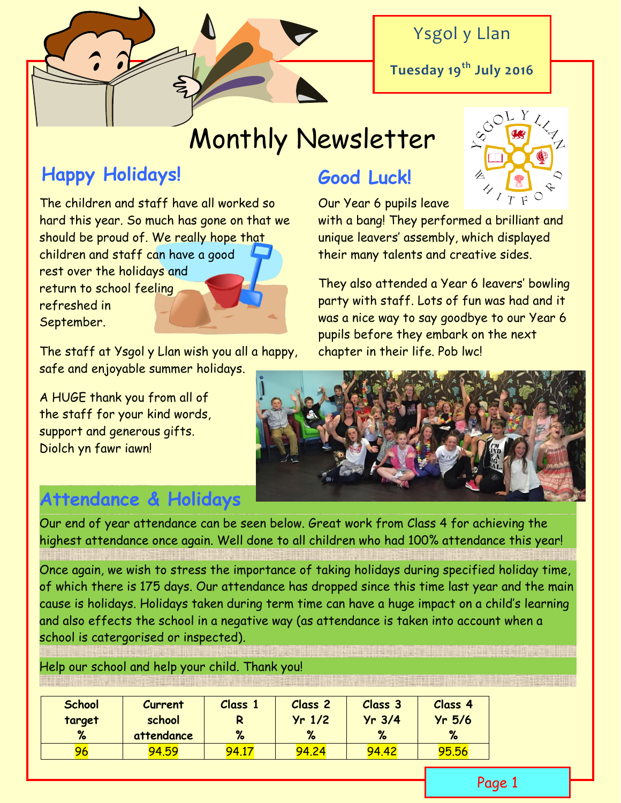

### Ysgol y Llan

**Tuesday 19th July 2016**

# Monthly Newsletter

# **Happy Holidays!**

The children and staff have all worked so hard this year. So much has gone on that we should be proud of. We really hope that children and staff can have a good rest over the holidays and return to school feeling refreshed in September.

The staff at Ysgol y Llan wish you all a happy, safe and enjoyable summer holidays.

A HUGE thank you from all of the staff for your kind words, support and generous gifts. Diolch yn fawr iawn!

# **Good Luck!**

Our Year 6 pupils leave

with a bang! They performed a brilliant and unique leavers' assembly, which displayed their many talents and creative sides.

They also attended a Year 6 leavers' bowling party with staff. Lots of fun was had and it was a nice way to say goodbye to our Year 6 pupils before they embark on the next chapter in their life. Pob lwc!



# **Attendance & Holidays**

Our end of year attendance can be seen below. Great work from Class 4 for achieving the highest attendance once again. Well done to all children who had 100% attendance this year!

Once again, we wish to stress the importance of taking holidays during specified holiday time, of which there is 175 days. Our attendance has dropped since this time last year and the main cause is holidays. Holidays taken during term time can have a huge impact on a child's learning and also effects the school in a negative way (as attendance is taken into account when a school is catergorised or inspected).

Help our school and help your child. Thank you!

| <b>School</b> | Current    | Class 1 | <b>Class 2</b> | Class 3  | Class <sub>4</sub> |
|---------------|------------|---------|----------------|----------|--------------------|
| target        | school     |         | $Yr$ 1/2       | $Yr$ 3/4 | $Yr$ 5/6           |
| %             | attendance | %       | %              | $\%$     | %                  |
| 96            | 94.59      | 94.17   | 94.24          | 94,42    | <u>95.56</u>       |